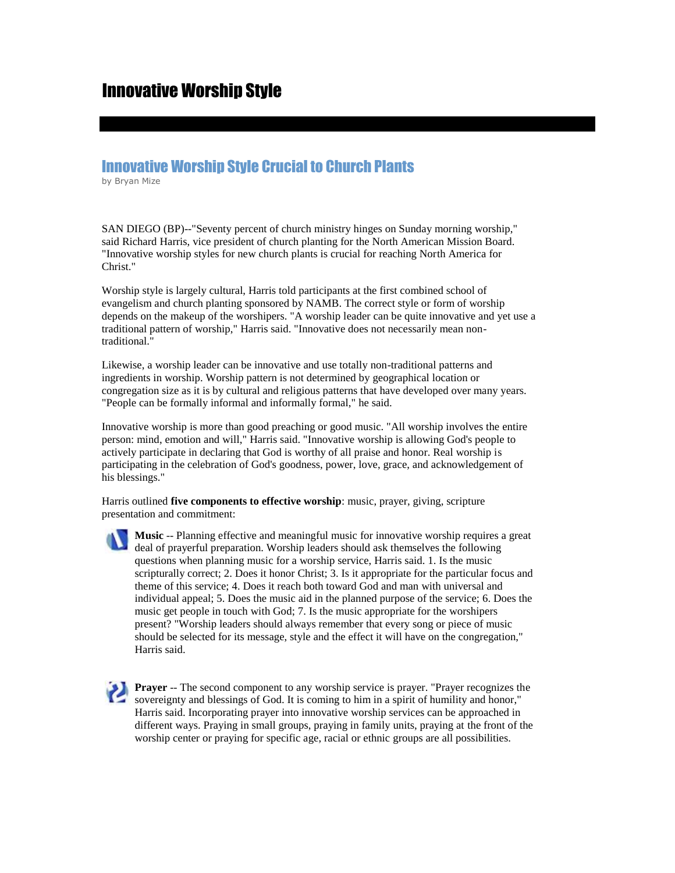## Innovative Worship Style

## Innovative Worship Style Crucial to Church Plants

by Bryan Mize

SAN DIEGO (BP)--"Seventy percent of church ministry hinges on Sunday morning worship," said Richard Harris, vice president of church planting for the North American Mission Board. "Innovative worship styles for new church plants is crucial for reaching North America for Christ."

Worship style is largely cultural, Harris told participants at the first combined school of evangelism and church planting sponsored by NAMB. The correct style or form of worship depends on the makeup of the worshipers. "A worship leader can be quite innovative and yet use a traditional pattern of worship," Harris said. "Innovative does not necessarily mean nontraditional."

Likewise, a worship leader can be innovative and use totally non-traditional patterns and ingredients in worship. Worship pattern is not determined by geographical location or congregation size as it is by cultural and religious patterns that have developed over many years. "People can be formally informal and informally formal," he said.

Innovative worship is more than good preaching or good music. "All worship involves the entire person: mind, emotion and will," Harris said. "Innovative worship is allowing God's people to actively participate in declaring that God is worthy of all praise and honor. Real worship is participating in the celebration of God's goodness, power, love, grace, and acknowledgement of his blessings."

Harris outlined **five components to effective worship**: music, prayer, giving, scripture presentation and commitment:

**Music** -- Planning effective and meaningful music for innovative worship requires a great deal of prayerful preparation. Worship leaders should ask themselves the following questions when planning music for a worship service, Harris said. 1. Is the music scripturally correct; 2. Does it honor Christ; 3. Is it appropriate for the particular focus and theme of this service; 4. Does it reach both toward God and man with universal and individual appeal; 5. Does the music aid in the planned purpose of the service; 6. Does the music get people in touch with God; 7. Is the music appropriate for the worshipers present? "Worship leaders should always remember that every song or piece of music should be selected for its message, style and the effect it will have on the congregation," Harris said.

**Prayer** -- The second component to any worship service is prayer. "Prayer recognizes the sovereignty and blessings of God. It is coming to him in a spirit of humility and honor," Harris said. Incorporating prayer into innovative worship services can be approached in different ways. Praying in small groups, praying in family units, praying at the front of the worship center or praying for specific age, racial or ethnic groups are all possibilities.